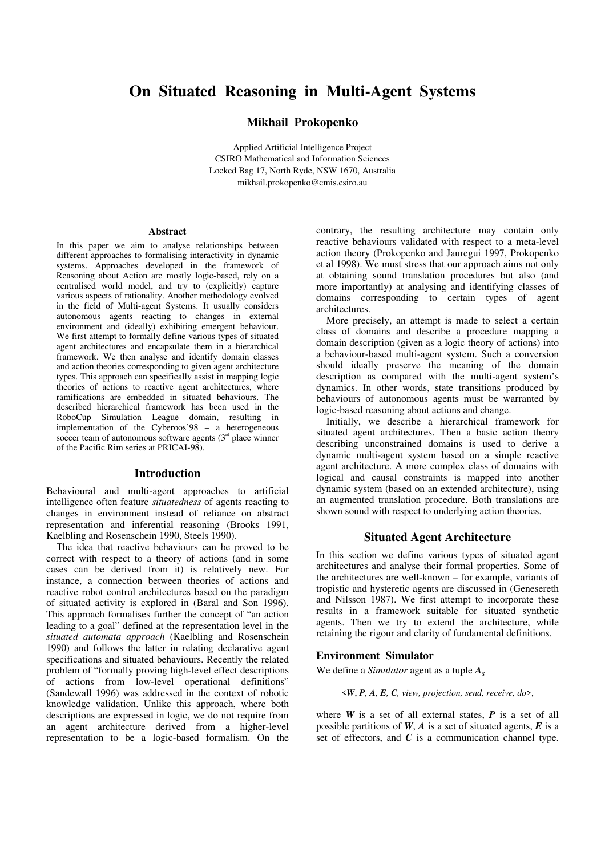# **On Situated Reasoning in Multi-Agent Systems**

# **Mikhail Prokopenko**

Applied Artificial Intelligence Project CSIRO Mathematical and Information Sciences Locked Bag 17, North Ryde, NSW 1670, Australia mikhail.prokopenko@cmis.csiro.au

#### **Abstract**

In this paper we aim to analyse relationships between different approaches to formalising interactivity in dynamic systems. Approaches developed in the framework of Reasoning about Action are mostly logic-based, rely on a centralised world model, and try to (explicitly) capture various aspects of rationality. Another methodology evolved in the field of Multi-agent Systems. It usually considers autonomous agents reacting to changes in external environment and (ideally) exhibiting emergent behaviour. We first attempt to formally define various types of situated agent architectures and encapsulate them in a hierarchical framework. We then analyse and identify domain classes and action theories corresponding to given agent architecture types. This approach can specifically assist in mapping logic theories of actions to reactive agent architectures, where ramifications are embedded in situated behaviours. The described hierarchical framework has been used in the RoboCup Simulation League domain, resulting in implementation of the Cyberoos'98 – a heterogeneous soccer team of autonomous software agents  $(3<sup>rd</sup>$  place winner of the Pacific Rim series at PRICAI-98).

# **Introduction**

Behavioural and multi-agent approaches to artificial intelligence often feature *situatedness* of agents reacting to changes in environment instead of reliance on abstract representation and inferential reasoning (Brooks 1991, Kaelbling and Rosenschein 1990, Steels 1990).

The idea that reactive behaviours can be proved to be correct with respect to a theory of actions (and in some cases can be derived from it) is relatively new. For instance, a connection between theories of actions and reactive robot control architectures based on the paradigm of situated activity is explored in (Baral and Son 1996). This approach formalises further the concept of "an action leading to a goal" defined at the representation level in the *situated automata approach* (Kaelbling and Rosenschein 1990) and follows the latter in relating declarative agent specifications and situated behaviours. Recently the related problem of "formally proving high-level effect descriptions of actions from low-level operational definitions" (Sandewall 1996) was addressed in the context of robotic knowledge validation. Unlike this approach, where both descriptions are expressed in logic, we do not require from an agent architecture derived from a higher-level representation to be a logic-based formalism. On the

contrary, the resulting architecture may contain only reactive behaviours validated with respect to a meta-level action theory (Prokopenko and Jauregui 1997, Prokopenko et al 1998). We must stress that our approach aims not only at obtaining sound translation procedures but also (and more importantly) at analysing and identifying classes of domains corresponding to certain types of agent architectures.

More precisely, an attempt is made to select a certain class of domains and describe a procedure mapping a domain description (given as a logic theory of actions) into a behaviour-based multi-agent system. Such a conversion should ideally preserve the meaning of the domain description as compared with the multi-agent system's dynamics. In other words, state transitions produced by behaviours of autonomous agents must be warranted by logic-based reasoning about actions and change.

Initially, we describe a hierarchical framework for situated agent architectures. Then a basic action theory describing unconstrained domains is used to derive a dynamic multi-agent system based on a simple reactive agent architecture. A more complex class of domains with logical and causal constraints is mapped into another dynamic system (based on an extended architecture), using an augmented translation procedure. Both translations are shown sound with respect to underlying action theories.

# **Situated Agent Architecture**

In this section we define various types of situated agent architectures and analyse their formal properties. Some of the architectures are well-known – for example, variants of tropistic and hysteretic agents are discussed in (Genesereth and Nilsson 1987). We first attempt to incorporate these results in a framework suitable for situated synthetic agents. Then we try to extend the architecture, while retaining the rigour and clarity of fundamental definitions.

### **Environment Simulator**

We define a *Simulator* agent as a tuple  $A<sub>s</sub>$ 

#### <*W*, *P, A, E, C, view, projection, send, receive, do*>,

where *W* is a set of all external states, *P* is a set of all possible partitions of *W*, *A* is a set of situated agents, *E* is a set of effectors, and  $C$  is a communication channel type.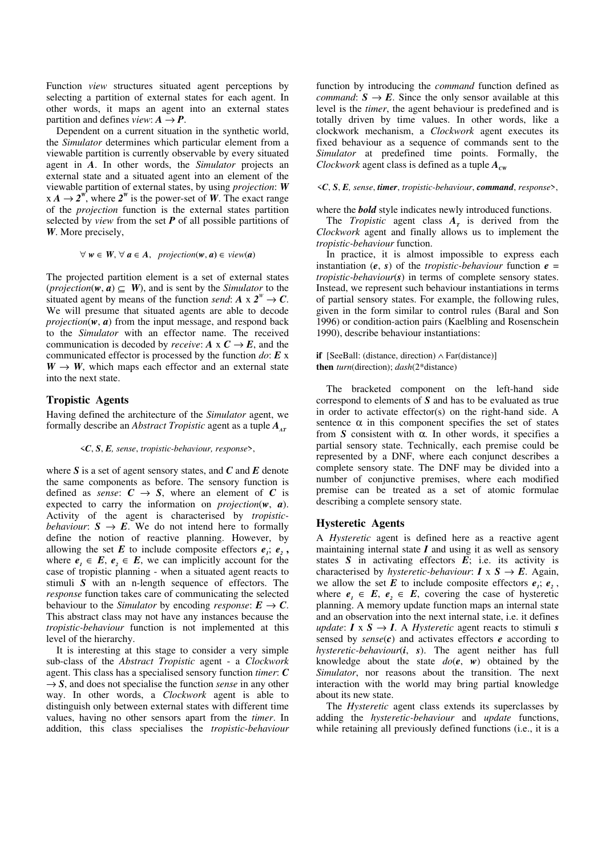Function *view* structures situated agent perceptions by selecting a partition of external states for each agent. In other words, it maps an agent into an external states partition and defines  $view: A \rightarrow P$ .

Dependent on a current situation in the synthetic world, the *Simulator* determines which particular element from a viewable partition is currently observable by every situated agent in *A*. In other words, the *Simulator* projects an external state and a situated agent into an element of the viewable partition of external states, by using *projection*: *W*  $x A \rightarrow 2^W$ , where  $2^W$  is the power-set of *W*. The exact range of the *projection* function is the external states partition selected by *view* from the set *P* of all possible partitions of *W*. More precisely,

$$
\forall w \in W, \forall a \in A, \text{ projection}(w, a) \in view(a)
$$

The projected partition element is a set of external states (*projection*( $w, a$ )  $\subseteq$  *W*), and is sent by the *Simulator* to the situated agent by means of the function *send*:  $A \times 2^W \rightarrow C$ . We will presume that situated agents are able to decode *projection*( $w$ ,  $a$ ) from the input message, and respond back to the *Simulator* with an effector name. The received communication is decoded by *receive*:  $A \times C \rightarrow E$ , and the communicated effector is processed by the function *do*: *E* x  $W \rightarrow W$ , which maps each effector and an external state into the next state.

#### **Tropistic Agents**

Having defined the architecture of the *Simulator* agent, we formally describe an *Abstract Tropistic* agent as a tuple  $A_{AT}$ 

#### <*C*, *S*, *E, sense*, *tropistic-behaviour, response*>,

where *S* is a set of agent sensory states, and *C* and *E* denote the same components as before. The sensory function is defined as *sense*:  $C \rightarrow S$ , where an element of *C* is expected to carry the information on *projection*(*w*, *a*). Activity of the agent is characterised by *tropisticbehaviour*:  $S \rightarrow E$ . We do not intend here to formally define the notion of reactive planning. However, by allowing the set  $E$  to include composite effectors  $e_i$ ;  $e_2$ , where  $e_i \in E$ ,  $e_2 \in E$ , we can implicitly account for the case of tropistic planning - when a situated agent reacts to stimuli *S* with an n-length sequence of effectors. The *response* function takes care of communicating the selected behaviour to the *Simulator* by encoding *response*:  $E \rightarrow C$ . This abstract class may not have any instances because the *tropistic-behaviour* function is not implemented at this level of the hierarchy.

It is interesting at this stage to consider a very simple sub-class of the *Abstract Tropistic* agent - a *Clockwork* agent. This class has a specialised sensory function *timer*: *C*  $\rightarrow$  *S*, and does not specialise the function *sense* in any other way. In other words, a *Clockwork* agent is able to distinguish only between external states with different time values, having no other sensors apart from the *timer*. In addition, this class specialises the *tropistic-behaviour* function by introducing the *command* function defined as *command*:  $S \rightarrow E$ . Since the only sensor available at this level is the *timer*, the agent behaviour is predefined and is totally driven by time values. In other words, like a clockwork mechanism, a *Clockwork* agent executes its fixed behaviour as a sequence of commands sent to the *Simulator* at predefined time points. Formally, the *Clockwork* agent class is defined as a tuple  $A_{\text{cw}}$ 

#### <*C*, *S*, *E, sense*, *timer*, *tropistic-behaviour*, *command*, *response*>,

where the *bold* style indicates newly introduced functions.

The *Tropistic* agent class  $A_T$  is derived from the *Clockwork* agent and finally allows us to implement the *tropistic-behaviour* function.

In practice, it is almost impossible to express each instantiation  $(e, s)$  of the *tropistic-behaviour* function  $e =$ *tropistic-behaviour*(*s*) in terms of complete sensory states. Instead, we represent such behaviour instantiations in terms of partial sensory states. For example, the following rules, given in the form similar to control rules (Baral and Son 1996) or condition-action pairs (Kaelbling and Rosenschein 1990), describe behaviour instantiations:

#### **if** [SeeBall: (distance, direction) ∧ Far(distance)] **then** *turn*(direction); *dash*(2\*distance)

The bracketed component on the left-hand side correspond to elements of *S* and has to be evaluated as true in order to activate effector(s) on the right-hand side. A sentence  $\alpha$  in this component specifies the set of states from *S* consistent with α. In other words, it specifies a partial sensory state. Technically, each premise could be represented by a DNF, where each conjunct describes a complete sensory state. The DNF may be divided into a number of conjunctive premises, where each modified premise can be treated as a set of atomic formulae describing a complete sensory state.

# **Hysteretic Agents**

A *Hysteretic* agent is defined here as a reactive agent maintaining internal state  $I$  and using it as well as sensory states  $S$  in activating effectors  $\vec{E}$ ; i.e. its activity is characterised by *hysteretic-behaviour*:  $I \times S \rightarrow E$ . Again, we allow the set E to include composite effectors  $e_i$ ;  $e_2$ , where  $e_i \in E$ ,  $e_i \in E$ , covering the case of hysteretic planning. A memory update function maps an internal state and an observation into the next internal state, i.e. it defines *update*:  $I \times S \rightarrow I$ . A *Hysteretic* agent reacts to stimuli *s* sensed by *sense*(*c*) and activates effectors *e* according to *hysteretic-behaviour*(*i*, *s*). The agent neither has full knowledge about the state  $do(e, w)$  obtained by the *Simulator*, nor reasons about the transition. The next interaction with the world may bring partial knowledge about its new state.

The *Hysteretic* agent class extends its superclasses by adding the *hysteretic-behaviour* and *update* functions, while retaining all previously defined functions (i.e., it is a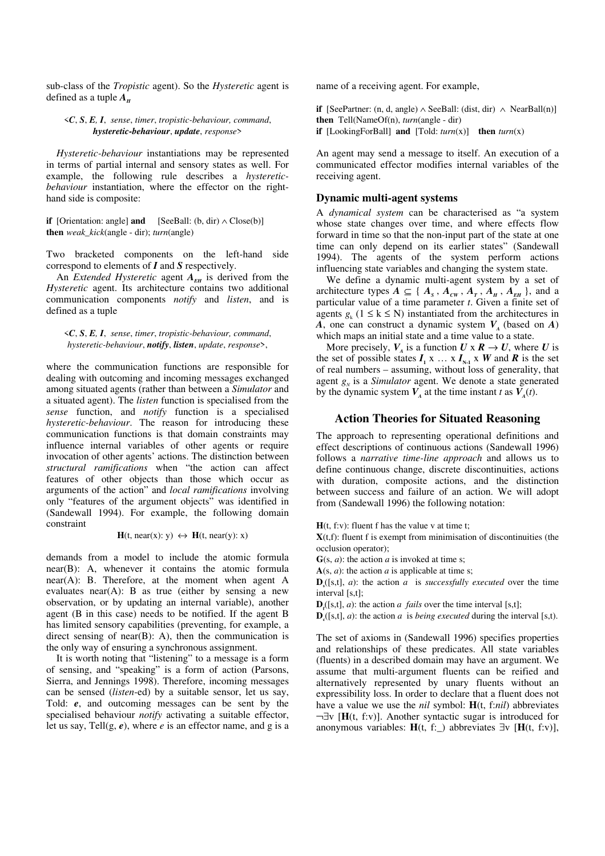sub-class of the *Tropistic* agent). So the *Hysteretic* agent is defined as a tuple  $A_\mu$ 

# <*C*, *S*, *E, I*, *sense*, *timer*, *tropistic-behaviour, command*, *hysteretic-behaviour*, *update*, *response*>

*Hysteretic-behaviour* instantiations may be represented in terms of partial internal and sensory states as well. For example, the following rule describes a *hystereticbehaviour* instantiation, where the effector on the righthand side is composite:

**if** [Orientation: angle] **and** [SeeBall:  $(b, dir) \wedge Close(b)]$ **then** *weak\_kick*(angle - dir); *turn*(angle)

Two bracketed components on the left-hand side correspond to elements of *I* and *S* respectively.

An *Extended Hysteretic* agent  $A_{EH}$  is derived from the *Hysteretic* agent. Its architecture contains two additional communication components *notify* and *listen*, and is defined as a tuple

# <*C*, *S*, *E, I*, *sense*, *timer*, *tropistic-behaviour, command*, *hysteretic-behaviour*, *notify*, *listen*, *update*, *response*>,

where the communication functions are responsible for dealing with outcoming and incoming messages exchanged among situated agents (rather than between a *Simulator* and a situated agent). The *listen* function is specialised from the *sense* function, and *notify* function is a specialised *hysteretic-behaviour*. The reason for introducing these communication functions is that domain constraints may influence internal variables of other agents or require invocation of other agents' actions. The distinction between *structural ramifications* when "the action can affect features of other objects than those which occur as arguments of the action" and *local ramifications* involving only "features of the argument objects" was identified in (Sandewall 1994). For example, the following domain constraint

 $H(t, near(x): y) \leftrightarrow H(t, near(y): x)$ 

demands from a model to include the atomic formula near(B): A, whenever it contains the atomic formula near(A): B. Therefore, at the moment when agent A evaluates near(A): B as true (either by sensing a new observation, or by updating an internal variable), another agent (B in this case) needs to be notified. If the agent B has limited sensory capabilities (preventing, for example, a direct sensing of near $(B)$ : A), then the communication is the only way of ensuring a synchronous assignment.

It is worth noting that "listening" to a message is a form of sensing, and "speaking" is a form of action (Parsons, Sierra, and Jennings 1998). Therefore, incoming messages can be sensed (*listen*-ed) by a suitable sensor, let us say, Told: *e*, and outcoming messages can be sent by the specialised behaviour *notify* activating a suitable effector, let us say, Tell(g, *e*), where *e* is an effector name, and g is a name of a receiving agent. For example,

**if** [SeePartner: (n, d, angle) ∧ SeeBall: (dist, dir) ∧ NearBall(n)] **then** Tell(NameOf(n), *turn*(angle - dir) **if** [LookingForBall] **and** [Told:  $turn(x)$ ] **then**  $turn(x)$ 

An agent may send a message to itself. An execution of a communicated effector modifies internal variables of the receiving agent.

# **Dynamic multi-agent systems**

A *dynamical system* can be characterised as "a system whose state changes over time, and where effects flow forward in time so that the non-input part of the state at one time can only depend on its earlier states" (Sandewall 1994). The agents of the system perform actions influencing state variables and changing the system state.

We define a dynamic multi-agent system by a set of architecture types  $A \subseteq \{A_s, A_{cw}, A_r, A_H, A_{EH}\}$ , and a particular value of a time parameter *t*. Given a finite set of agents  $g_k$  (1 ≤ k ≤ N) instantiated from the architectures in *A*, one can construct a dynamic system  $V_A$  (based on *A*) which maps an initial state and a time value to a state.

More precisely,  $V_A$  is a function  $U \times R \to U$ , where  $U$  is the set of possible states  $I_1 \times ... \times I_{N-1} \times W$  and  $R$  is the set of real numbers – assuming, without loss of generality, that agent  $g_N$  is a *Simulator* agent. We denote a state generated by the dynamic system  $V_A$  at the time instant *t* as  $V_A(t)$ .

# **Action Theories for Situated Reasoning**

The approach to representing operational definitions and effect descriptions of continuous actions (Sandewall 1996) follows a *narrative time-line approach* and allows us to define continuous change, discrete discontinuities, actions with duration, composite actions, and the distinction between success and failure of an action. We will adopt from (Sandewall 1996) the following notation:

 $H(t, f; v)$ : fluent f has the value v at time t;

 $X(t,f)$ : fluent f is exempt from minimisation of discontinuities (the occlusion operator);

 $G(s, a)$ : the action *a* is invoked at time s;

 $A(s, a)$ : the action *a* is applicable at time s;

 $\mathbf{D}_s([s,t], a)$ : the action *a* is *successfully executed* over the time interval [s,t];

 $\mathbf{D}_f([s,t], a)$ : the action *a fails* over the time interval [s,t];

 $\mathbf{D}_c([s,t], a)$ : the action *a* is *being executed* during the interval [s,t).

The set of axioms in (Sandewall 1996) specifies properties and relationships of these predicates. All state variables (fluents) in a described domain may have an argument. We assume that multi-argument fluents can be reified and alternatively represented by unary fluents without an expressibility loss. In order to declare that a fluent does not have a value we use the *nil* symbol: **H**(t, f:*nil*) abbreviates ¬∃v [**H**(t, f:v)]. Another syntactic sugar is introduced for anonymous variables: **H**(t, f:\_) abbreviates ∃v [**H**(t, f:v)],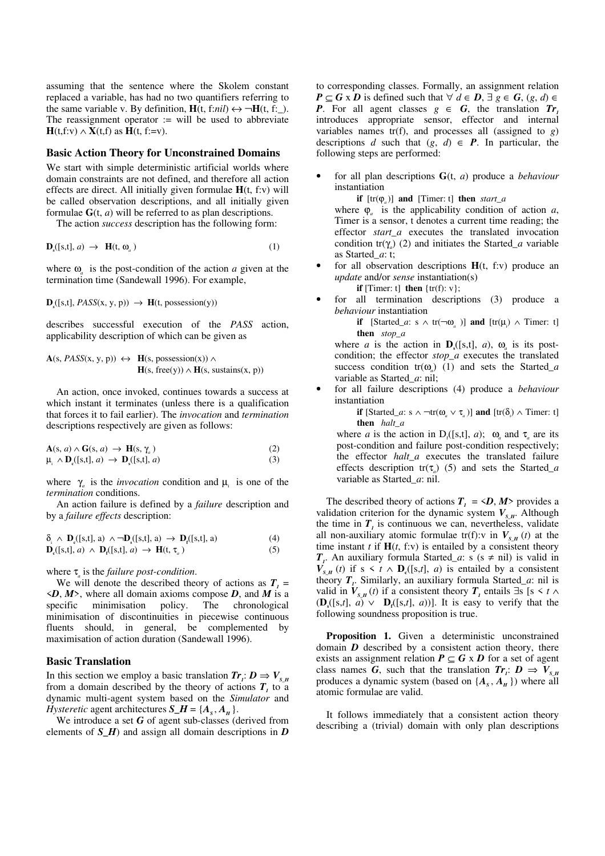assuming that the sentence where the Skolem constant replaced a variable, has had no two quantifiers referring to the same variable v. By definition,  $H(t, f: nil) \leftrightarrow \neg H(t, f:$ . The reassignment operator  $:=$  will be used to abbreviate **H**(t,f:v) ∧ **X**(t,f) as **H**(t, f:=v).

## **Basic Action Theory for Unconstrained Domains**

We start with simple deterministic artificial worlds where domain constraints are not defined, and therefore all action effects are direct. All initially given formulae **H**(t, f:v) will be called observation descriptions, and all initially given formulae  $G(t, a)$  will be referred to as plan descriptions.

The action *success* description has the following form:

$$
\mathbf{D}_{s}([s,t],a) \rightarrow \mathbf{H}(t,\omega_{a})
$$
 (1)

where  $\omega$ <sub>*a*</sub> is the post-condition of the action *a* given at the termination time (Sandewall 1996). For example,

 $\mathbf{D}_s([s,t], \text{PASS}(x, y, p)) \rightarrow \mathbf{H}(t, \text{possession}(y))$ 

describes successful execution of the *PASS* action, applicability description of which can be given as

$$
\mathbf{A}(s, \text{PASS}(x, y, p)) \leftrightarrow \mathbf{H}(s, \text{possession}(x)) \land \mathbf{H}(s, \text{free}(y)) \land \mathbf{H}(s, \text{sustains}(x, p))
$$

An action, once invoked, continues towards a success at which instant it terminates (unless there is a qualification that forces it to fail earlier). The *invocation* and *termination* descriptions respectively are given as follows:

$$
\mathbf{A}(s, a) \wedge \mathbf{G}(s, a) \rightarrow \mathbf{H}(s, \gamma_a)
$$
\n
$$
\mu_i \wedge \mathbf{D}_c([s, t], a) \rightarrow \mathbf{D}_s([s, t], a)
$$
\n(2)\n(3)

where  $\gamma_a$  is the *invocation* condition and  $\mu_i$  is one of the *termination* conditions.

An action failure is defined by a *failure* description and by a *failure effects* description:

$$
\delta_{_i} \ \wedge \ \mathbf{D}_{_e}([s,t],a) \ \wedge \neg \mathbf{D}_{_s}([s,t],a) \ \rightarrow \ \mathbf{D}_{_f}([s,t],a) \tag{4}
$$

$$
\mathbf{D}_{\mathfrak{e}}([s,t],a) \ \wedge \ \mathbf{D}_{\mathfrak{f}}([s,t],a) \ \rightarrow \ \mathbf{H}(t,\tau_a) \tag{5}
$$

where τ*<sup>a</sup>* is the *failure post-condition*.

We will denote the described theory of actions as  $T<sub>1</sub>$  =  $\langle D, M \rangle$ , where all domain axioms compose *D*, and *M* is a specific minimisation policy. The chronological minimisation of discontinuities in piecewise continuous fluents should, in general, be complemented by maximisation of action duration (Sandewall 1996).

## **Basic Translation**

In this section we employ a basic translation  $Tr_i: D \Rightarrow V_{S,H}$ from a domain described by the theory of actions  $T<sub>1</sub>$  to a dynamic multi-agent system based on the *Simulator* and *Hysteretic* agent architectures  $S_H = \{A_s, A_u\}.$ 

We introduce a set *G* of agent sub-classes (derived from elements of  $S$   $H$ ) and assign all domain descriptions in  $D$ 

to corresponding classes. Formally, an assignment relation *P* ⊆ *G* x *D* is defined such that  $\forall d \in D$ ,  $\exists g \in G$ ,  $(g, d) \in$ *P*. For all agent classes  $g \in G$ , the translation  $Tr_i$ introduces appropriate sensor, effector and internal variables names  $tr(f)$ , and processes all (assigned to *g*) descriptions *d* such that  $(g, d) \in P$ . In particular, the following steps are performed:

• for all plan descriptions **G**(t, *a*) produce a *behaviour* instantiation

**if** [tr(ϕ*<sup>a</sup>* )] **and** [Timer: t] **then** *start\_a*

where  $\varphi_a$  is the applicability condition of action *a*, Timer is a sensor, t denotes a current time reading; the effector *start* a executes the translated invocation condition  $tr(\gamma_a)$  (2) and initiates the Started<sub>*-a*</sub> variable as Started*\_a*: t;

for all observation descriptions  $H(t, f; v)$  produce an *update* and/or *sense* instantiation(s)

**if** [Timer: t] **then**  $\{tr(f): v\}$ :

for all termination descriptions (3) produce a *behaviour* instantiation

> **if** [Started*\_a*: s  $\land$  tr( $\neg \omega_a$ )] **and** [tr( $\mu_i$ )  $\land$  Timer: t] **then** *stop\_a*

where *a* is the action in  $\mathbf{D}_s([s,t], a)$ ,  $\omega_a$  is its postcondition; the effector *stop\_a* executes the translated success condition  $tr(\omega_a)$  (1) and sets the Started<sub>*a*</sub> variable as Started*\_a*: nil;

• for all failure descriptions (4) produce a *behaviour* instantiation

> **if** [Started*\_a*: s  $\land \neg \text{tr}(\omega_a \lor \tau_a)$ ] **and** [tr( $\delta_i$ )  $\land$  Timer: t] **then** *halt\_a*

where *a* is the action in D<sub>f</sub>([s,t], *a*);  $\omega_a$  and  $\tau_a$  are its post-condition and failure post-condition respectively; the effector *halt\_a* executes the translated failure effects description tr(τ*<sup>a</sup>* ) (5) and sets the Started*\_a* variable as Started*\_a*: nil.

The described theory of actions  $T_i = \langle D, M \rangle$  provides a validation criterion for the dynamic system  $V_{S/H}$ . Although the time in  $T<sub>i</sub>$  is continuous we can, nevertheless, validate all non-auxiliary atomic formulae tr(f):v in  $V_{S/H}(t)$  at the time instant  $t$  if  $H(t, f; v)$  is entailed by a consistent theory  $T_i$ . An auxiliary formula Started<sub>*\_a*</sub>: s (s  $\neq$  nil) is valid in *V*<sub>*S\_H</sub>* (*t*) if s < *t*  $\wedge$  **D**<sub>c</sub>([s,*t*], *a*) is entailed by a consistent</sub> theory *T<sup>1</sup>* . Similarly, an auxiliary formula Started*\_a*: nil is valid in  $V_{s,H}(t)$  if a consistent theory  $T_i$  entails ∃s [s < t ∧  $(\mathbf{D}_s([s,t], a) \vee \mathbf{D}_t([s,t], a))$ . It is easy to verify that the following soundness proposition is true.

**Proposition 1.** Given a deterministic unconstrained domain *D* described by a consistent action theory, there exists an assignment relation  $P \subseteq G \times D$  for a set of agent class names *G*, such that the translation  $Tr_i: D \Rightarrow V_{S,H}$ produces a dynamic system (based on  $\{A_s, A_H\}$ ) where all atomic formulae are valid.

It follows immediately that a consistent action theory describing a (trivial) domain with only plan descriptions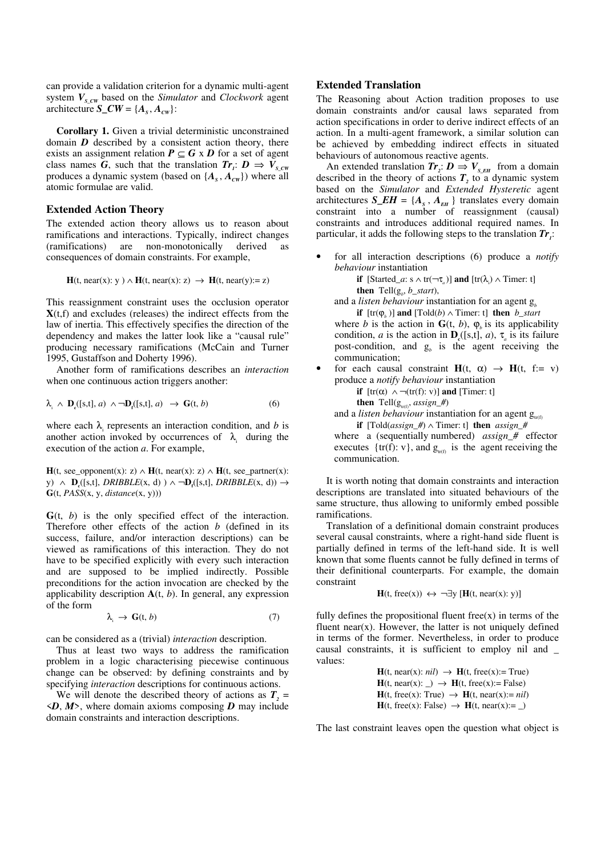can provide a validation criterion for a dynamic multi-agent system  $V_{S_CW}$  based on the *Simulator* and *Clockwork* agent architecture *S\_CW* =  $\{A_s, A_{cw}\}$ :

**Corollary 1.** Given a trivial deterministic unconstrained domain *D* described by a consistent action theory, there exists an assignment relation  $P \subseteq G \times D$  for a set of agent class names *G*, such that the translation  $Tr_i: D \Rightarrow V_{S_C(W)}$ produces a dynamic system (based on  $\{A_s, A_{cw}\}\)$ ) where all atomic formulae are valid.

# **Extended Action Theory**

The extended action theory allows us to reason about ramifications and interactions. Typically, indirect changes (ramifications) are non-monotonically derived as consequences of domain constraints. For example,

$$
H(t, near(x): y) \wedge H(t, near(x): z) \rightarrow H(t, near(y): z)
$$

This reassignment constraint uses the occlusion operator  $X(t,f)$  and excludes (releases) the indirect effects from the law of inertia. This effectively specifies the direction of the dependency and makes the latter look like a "causal rule" producing necessary ramifications (McCain and Turner 1995, Gustaffson and Doherty 1996).

Another form of ramifications describes an *interaction* when one continuous action triggers another:

$$
\lambda_{i} \wedge \mathbf{D}_{\mathfrak{e}}([s,t],a) \wedge \neg \mathbf{D}_{\mathfrak{f}}([s,t],a) \rightarrow \mathbf{G}(t,b) \tag{6}
$$

where each  $\lambda_i$  represents an interaction condition, and *b* is another action invoked by occurrences of  $\lambda_i$  during the execution of the action *a*. For example,

**H**(t, see\_opponent(x): z) ∧ **H**(t, near(x): z) ∧ **H**(t, see\_partner(x): y) ∧ **D**<sub>*c*</sub>([s,t], *DRIBBLE*(x, d) ) ∧ ¬**D**<sub>*f*</sub>([s,t], *DRIBBLE*(x, d)) → **G**(t, *PASS*(x, y, *distance*(x, y)))

**G**(t, *b*) is the only specified effect of the interaction. Therefore other effects of the action *b* (defined in its success, failure, and/or interaction descriptions) can be viewed as ramifications of this interaction. They do not have to be specified explicitly with every such interaction and are supposed to be implied indirectly. Possible preconditions for the action invocation are checked by the applicability description **A**(t, *b*). In general, any expression of the form

$$
\lambda_{i} \to \mathbf{G}(t, b) \tag{7}
$$

can be considered as a (trivial) *interaction* description.

Thus at least two ways to address the ramification problem in a logic characterising piecewise continuous change can be observed: by defining constraints and by specifying *interaction* descriptions for continuous actions.

We will denote the described theory of actions as  $T<sub>2</sub>$  =  $\langle D, M \rangle$ , where domain axioms composing *D* may include domain constraints and interaction descriptions.

# **Extended Translation**

The Reasoning about Action tradition proposes to use domain constraints and/or causal laws separated from action specifications in order to derive indirect effects of an action. In a multi-agent framework, a similar solution can be achieved by embedding indirect effects in situated behaviours of autonomous reactive agents.

An extended translation  $Tr_2$ :  $D \Rightarrow V_{S\_EH}$  from a domain described in the theory of actions  $T_2$  to a dynamic system based on the *Simulator* and *Extended Hysteretic* agent architectures  $S\_EH = \{A_s, A_{EH}\}\$ translates every domain constraint into a number of reassignment (causal) constraints and introduces additional required names. In particular, it adds the following steps to the translation *Tr<sup>1</sup>* :

• for all interaction descriptions (6) produce a *notify behaviour* instantiation

> **if** [Started\_a: s  $\wedge$  tr( $\neg \tau_a$ )] **and** [tr( $\lambda_i$ )  $\wedge$  Timer: t] **then**  $\text{Tell}(g_b, b\_start)$ ,

and a *listen behaviour* instantiation for an agent g*<sup>b</sup>*

**if**  $[tr(\varphi_k)]$  **and**  $[Told(b) \wedge T$ **imer: t] then** *b\_start* where *b* is the action in  $\mathbf{G}(t, b)$ ,  $\varphi$ <sub>*b*</sub> is its applicability condition, *a* is the action in  $\mathbf{D}_{\epsilon}([s,t], a)$ ,  $\tau_a$  is its failure post-condition, and  $g_b$  is the agent receiving the communication;

for each causal constraint  $H(t, \alpha) \rightarrow H(t, f:= v)$ produce a *notify behaviour* instantiation

**if**  $[\text{tr}(\alpha) \land \neg(\text{tr}(f); v)]$  **and**  $[\text{Timer: t}]$ 

then 
$$
\text{Tell}(g_{tr(f)}, \text{assign\_H})
$$

and a *listen behaviour* instantiation for an agent  $g_{\text{tr(f)}}$ 

**if** [Told(*assign*  $#$ ) ∧ Timer: t] **then** *assign*  $#$ 

 where a (sequentially numbered) *assign\_#* effector executes {tr(f): v}, and  $g_{tr(f)}$  is the agent receiving the communication.

It is worth noting that domain constraints and interaction descriptions are translated into situated behaviours of the same structure, thus allowing to uniformly embed possible ramifications.

Translation of a definitional domain constraint produces several causal constraints, where a right-hand side fluent is partially defined in terms of the left-hand side. It is well known that some fluents cannot be fully defined in terms of their definitional counterparts. For example, the domain constraint

$$
H(t, free(x)) \leftrightarrow \neg \exists y [H(t, near(x): y)]
$$

fully defines the propositional fluent free $(x)$  in terms of the fluent near(x). However, the latter is not uniquely defined in terms of the former. Nevertheless, in order to produce causal constraints, it is sufficient to employ nil and \_ values:

> $H(t, near(x): nil) \rightarrow H(t, free(x)) = True$  $H(t, near(x): \_) \rightarrow H(t, free(x):= False)$  $H(t, free(x): True) \rightarrow H(t, near(x):= nil)$  $H(t, free(x): False) \rightarrow H(t, near(x):= \_)$

The last constraint leaves open the question what object is